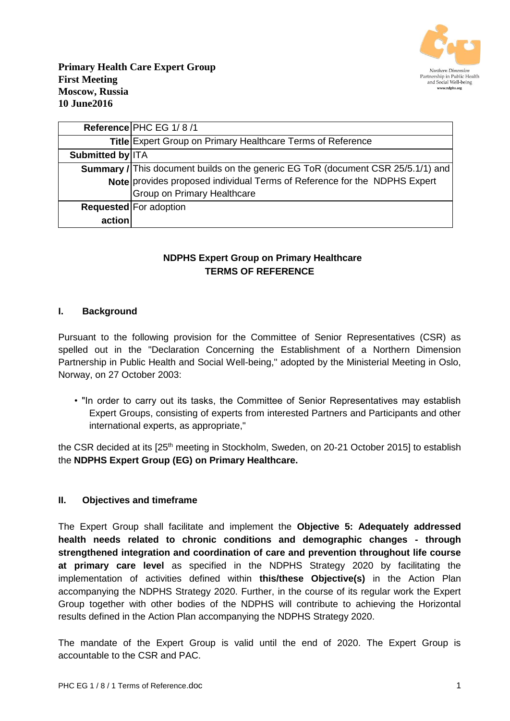

|                         | Reference PHC EG 1/8/1                                                                  |
|-------------------------|-----------------------------------------------------------------------------------------|
|                         | Title Expert Group on Primary Healthcare Terms of Reference                             |
| <b>Submitted by ITA</b> |                                                                                         |
|                         | <b>Summary / This document builds on the generic EG ToR (document CSR 25/5.1/1) and</b> |
|                         | Note provides proposed individual Terms of Reference for the NDPHS Expert               |
|                         | <b>Group on Primary Healthcare</b>                                                      |
|                         | Requested For adoption                                                                  |
| action                  |                                                                                         |

# **NDPHS Expert Group on Primary Healthcare TERMS OF REFERENCE**

### **I. Background**

Pursuant to the following provision for the Committee of Senior Representatives (CSR) as spelled out in the "Declaration Concerning the Establishment of a Northern Dimension Partnership in Public Health and Social Well-being," adopted by the Ministerial Meeting in Oslo, Norway, on 27 October 2003:

• "In order to carry out its tasks, the Committee of Senior Representatives may establish Expert Groups, consisting of experts from interested Partners and Participants and other international experts, as appropriate,"

the CSR decided at its [25<sup>th</sup> meeting in Stockholm, Sweden, on 20-21 October 2015] to establish the **NDPHS Expert Group (EG) on Primary Healthcare.**

#### **II. Objectives and timeframe**

The Expert Group shall facilitate and implement the **Objective 5: Adequately addressed health needs related to chronic conditions and demographic changes - through strengthened integration and coordination of care and prevention throughout life course at primary care level** as specified in the NDPHS Strategy 2020 by facilitating the implementation of activities defined within **this/these Objective(s)** in the Action Plan accompanying the NDPHS Strategy 2020. Further, in the course of its regular work the Expert Group together with other bodies of the NDPHS will contribute to achieving the Horizontal results defined in the Action Plan accompanying the NDPHS Strategy 2020.

The mandate of the Expert Group is valid until the end of 2020. The Expert Group is accountable to the CSR and PAC.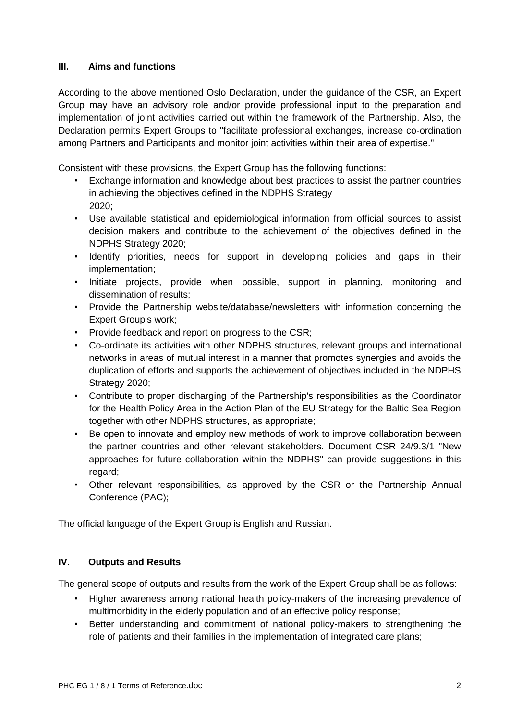## **III. Aims and functions**

According to the above mentioned Oslo Declaration, under the guidance of the CSR, an Expert Group may have an advisory role and/or provide professional input to the preparation and implementation of joint activities carried out within the framework of the Partnership. Also, the Declaration permits Expert Groups to "facilitate professional exchanges, increase co-ordination among Partners and Participants and monitor joint activities within their area of expertise."

Consistent with these provisions, the Expert Group has the following functions:

- Exchange information and knowledge about best practices to assist the partner countries in achieving the objectives defined in the NDPHS Strategy 2020;
- Use available statistical and epidemiological information from official sources to assist decision makers and contribute to the achievement of the objectives defined in the NDPHS Strategy 2020;
- Identify priorities, needs for support in developing policies and gaps in their implementation;
- Initiate projects, provide when possible, support in planning, monitoring and dissemination of results;
- Provide the Partnership website/database/newsletters with information concerning the Expert Group's work;
- Provide feedback and report on progress to the CSR;
- Co-ordinate its activities with other NDPHS structures, relevant groups and international networks in areas of mutual interest in a manner that promotes synergies and avoids the duplication of efforts and supports the achievement of objectives included in the NDPHS Strategy 2020;
- Contribute to proper discharging of the Partnership's responsibilities as the Coordinator for the Health Policy Area in the Action Plan of the EU Strategy for the Baltic Sea Region together with other NDPHS structures, as appropriate;
- Be open to innovate and employ new methods of work to improve collaboration between the partner countries and other relevant stakeholders. Document CSR 24/9.3/1 "New approaches for future collaboration within the NDPHS" can provide suggestions in this regard;
- Other relevant responsibilities, as approved by the CSR or the Partnership Annual Conference (PAC);

The official language of the Expert Group is English and Russian.

## **IV. Outputs and Results**

The general scope of outputs and results from the work of the Expert Group shall be as follows:

- Higher awareness among national health policy-makers of the increasing prevalence of multimorbidity in the elderly population and of an effective policy response;
- Better understanding and commitment of national policy-makers to strengthening the role of patients and their families in the implementation of integrated care plans;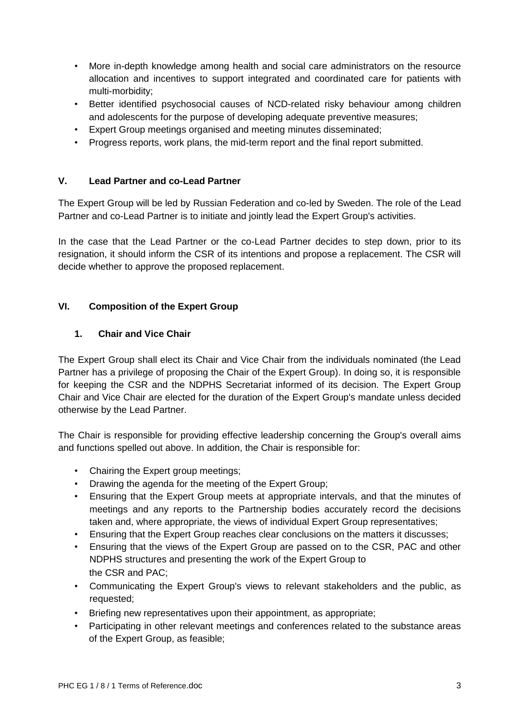- More in-depth knowledge among health and social care administrators on the resource allocation and incentives to support integrated and coordinated care for patients with multi-morbidity;
- Better identified psychosocial causes of NCD-related risky behaviour among children and adolescents for the purpose of developing adequate preventive measures;
- Expert Group meetings organised and meeting minutes disseminated;
- Progress reports, work plans, the mid-term report and the final report submitted.

### **V. Lead Partner and co-Lead Partner**

The Expert Group will be led by Russian Federation and co-led by Sweden. The role of the Lead Partner and co-Lead Partner is to initiate and jointly lead the Expert Group's activities.

In the case that the Lead Partner or the co-Lead Partner decides to step down, prior to its resignation, it should inform the CSR of its intentions and propose a replacement. The CSR will decide whether to approve the proposed replacement.

## **VI. Composition of the Expert Group**

### **1. Chair and Vice Chair**

The Expert Group shall elect its Chair and Vice Chair from the individuals nominated (the Lead Partner has a privilege of proposing the Chair of the Expert Group). In doing so, it is responsible for keeping the CSR and the NDPHS Secretariat informed of its decision. The Expert Group Chair and Vice Chair are elected for the duration of the Expert Group's mandate unless decided otherwise by the Lead Partner.

The Chair is responsible for providing effective leadership concerning the Group's overall aims and functions spelled out above. In addition, the Chair is responsible for:

- Chairing the Expert group meetings;
- Drawing the agenda for the meeting of the Expert Group;
- Ensuring that the Expert Group meets at appropriate intervals, and that the minutes of meetings and any reports to the Partnership bodies accurately record the decisions taken and, where appropriate, the views of individual Expert Group representatives;
- Ensuring that the Expert Group reaches clear conclusions on the matters it discusses;
- Ensuring that the views of the Expert Group are passed on to the CSR, PAC and other NDPHS structures and presenting the work of the Expert Group to the CSR and PAC;
- Communicating the Expert Group's views to relevant stakeholders and the public, as requested;
- Briefing new representatives upon their appointment, as appropriate;
- Participating in other relevant meetings and conferences related to the substance areas of the Expert Group, as feasible;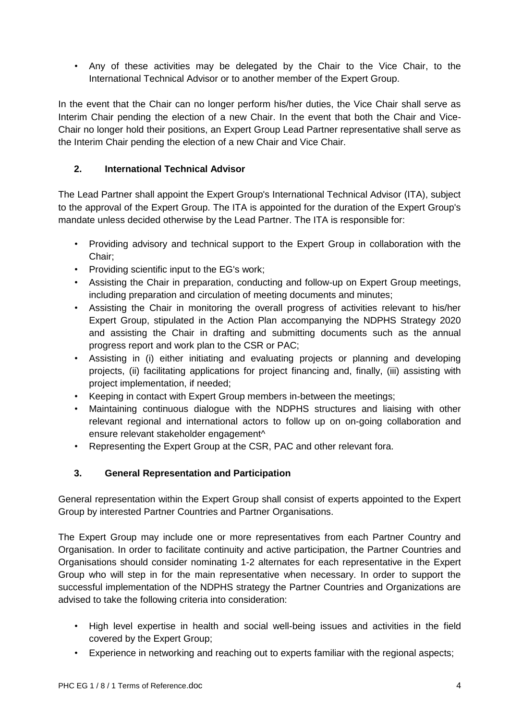• Any of these activities may be delegated by the Chair to the Vice Chair, to the International Technical Advisor or to another member of the Expert Group.

In the event that the Chair can no longer perform his/her duties, the Vice Chair shall serve as Interim Chair pending the election of a new Chair. In the event that both the Chair and Vice-Chair no longer hold their positions, an Expert Group Lead Partner representative shall serve as the Interim Chair pending the election of a new Chair and Vice Chair.

## **2. International Technical Advisor**

The Lead Partner shall appoint the Expert Group's International Technical Advisor (ITA), subject to the approval of the Expert Group. The ITA is appointed for the duration of the Expert Group's mandate unless decided otherwise by the Lead Partner. The ITA is responsible for:

- Providing advisory and technical support to the Expert Group in collaboration with the Chair;
- Providing scientific input to the EG's work;
- Assisting the Chair in preparation, conducting and follow-up on Expert Group meetings, including preparation and circulation of meeting documents and minutes;
- Assisting the Chair in monitoring the overall progress of activities relevant to his/her Expert Group, stipulated in the Action Plan accompanying the NDPHS Strategy 2020 and assisting the Chair in drafting and submitting documents such as the annual progress report and work plan to the CSR or PAC;
- Assisting in (i) either initiating and evaluating projects or planning and developing projects, (ii) facilitating applications for project financing and, finally, (iii) assisting with project implementation, if needed;
- Keeping in contact with Expert Group members in-between the meetings;
- Maintaining continuous dialogue with the NDPHS structures and liaising with other relevant regional and international actors to follow up on on-going collaboration and ensure relevant stakeholder engagement^
- Representing the Expert Group at the CSR, PAC and other relevant fora.

## **3. General Representation and Participation**

General representation within the Expert Group shall consist of experts appointed to the Expert Group by interested Partner Countries and Partner Organisations.

The Expert Group may include one or more representatives from each Partner Country and Organisation. In order to facilitate continuity and active participation, the Partner Countries and Organisations should consider nominating 1-2 alternates for each representative in the Expert Group who will step in for the main representative when necessary. In order to support the successful implementation of the NDPHS strategy the Partner Countries and Organizations are advised to take the following criteria into consideration:

- High level expertise in health and social well-being issues and activities in the field covered by the Expert Group;
- Experience in networking and reaching out to experts familiar with the regional aspects;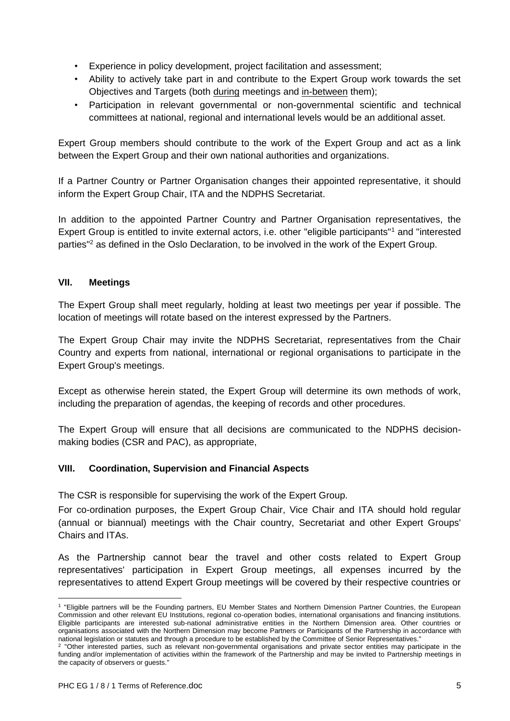- Experience in policy development, project facilitation and assessment;
- Ability to actively take part in and contribute to the Expert Group work towards the set Objectives and Targets (both during meetings and in-between them);
- Participation in relevant governmental or non-governmental scientific and technical committees at national, regional and international levels would be an additional asset.

Expert Group members should contribute to the work of the Expert Group and act as a link between the Expert Group and their own national authorities and organizations.

If a Partner Country or Partner Organisation changes their appointed representative, it should inform the Expert Group Chair, ITA and the NDPHS Secretariat.

In addition to the appointed Partner Country and Partner Organisation representatives, the Expert Group is entitled to invite external actors, i.e. other "eligible participants"<sup>1</sup> and "interested parties"<sup>2</sup> as defined in the Oslo Declaration, to be involved in the work of the Expert Group.

## **VII. Meetings**

The Expert Group shall meet regularly, holding at least two meetings per year if possible. The location of meetings will rotate based on the interest expressed by the Partners.

The Expert Group Chair may invite the NDPHS Secretariat, representatives from the Chair Country and experts from national, international or regional organisations to participate in the Expert Group's meetings.

Except as otherwise herein stated, the Expert Group will determine its own methods of work, including the preparation of agendas, the keeping of records and other procedures.

The Expert Group will ensure that all decisions are communicated to the NDPHS decisionmaking bodies (CSR and PAC), as appropriate,

## **VIII. Coordination, Supervision and Financial Aspects**

The CSR is responsible for supervising the work of the Expert Group.

For co-ordination purposes, the Expert Group Chair, Vice Chair and ITA should hold regular (annual or biannual) meetings with the Chair country, Secretariat and other Expert Groups' Chairs and ITAs.

As the Partnership cannot bear the travel and other costs related to Expert Group representatives' participation in Expert Group meetings, all expenses incurred by the representatives to attend Expert Group meetings will be covered by their respective countries or

 $\overline{a}$ 

<sup>1</sup> "Eligible partners will be the Founding partners, EU Member States and Northern Dimension Partner Countries, the European Commission and other relevant EU Institutions, regional co-operation bodies, international organisations and financing institutions. Eligible participants are interested sub-national administrative entities in the Northern Dimension area. Other countries or organisations associated with the Northern Dimension may become Partners or Participants of the Partnership in accordance with national legislation or statutes and through a procedure to be established by the Committee of Senior Representatives."

<sup>2</sup> "Other interested parties, such as relevant non-governmental organisations and private sector entities may participate in the funding and/or implementation of activities within the framework of the Partnership and may be invited to Partnership meetings in the capacity of observers or guests."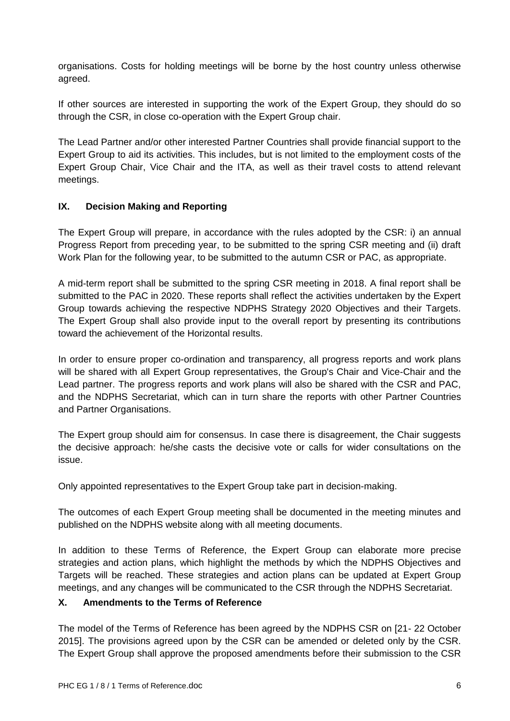organisations. Costs for holding meetings will be borne by the host country unless otherwise agreed.

If other sources are interested in supporting the work of the Expert Group, they should do so through the CSR, in close co-operation with the Expert Group chair.

The Lead Partner and/or other interested Partner Countries shall provide financial support to the Expert Group to aid its activities. This includes, but is not limited to the employment costs of the Expert Group Chair, Vice Chair and the ITA, as well as their travel costs to attend relevant meetings.

## **IX. Decision Making and Reporting**

The Expert Group will prepare, in accordance with the rules adopted by the CSR: i) an annual Progress Report from preceding year, to be submitted to the spring CSR meeting and (ii) draft Work Plan for the following year, to be submitted to the autumn CSR or PAC, as appropriate.

A mid-term report shall be submitted to the spring CSR meeting in 2018. A final report shall be submitted to the PAC in 2020. These reports shall reflect the activities undertaken by the Expert Group towards achieving the respective NDPHS Strategy 2020 Objectives and their Targets. The Expert Group shall also provide input to the overall report by presenting its contributions toward the achievement of the Horizontal results.

In order to ensure proper co-ordination and transparency, all progress reports and work plans will be shared with all Expert Group representatives, the Group's Chair and Vice-Chair and the Lead partner. The progress reports and work plans will also be shared with the CSR and PAC, and the NDPHS Secretariat, which can in turn share the reports with other Partner Countries and Partner Organisations.

The Expert group should aim for consensus. In case there is disagreement, the Chair suggests the decisive approach: he/she casts the decisive vote or calls for wider consultations on the issue.

Only appointed representatives to the Expert Group take part in decision-making.

The outcomes of each Expert Group meeting shall be documented in the meeting minutes and published on the NDPHS website along with all meeting documents.

In addition to these Terms of Reference, the Expert Group can elaborate more precise strategies and action plans, which highlight the methods by which the NDPHS Objectives and Targets will be reached. These strategies and action plans can be updated at Expert Group meetings, and any changes will be communicated to the CSR through the NDPHS Secretariat.

## **X. Amendments to the Terms of Reference**

The model of the Terms of Reference has been agreed by the NDPHS CSR on [21- 22 October 2015]. The provisions agreed upon by the CSR can be amended or deleted only by the CSR. The Expert Group shall approve the proposed amendments before their submission to the CSR